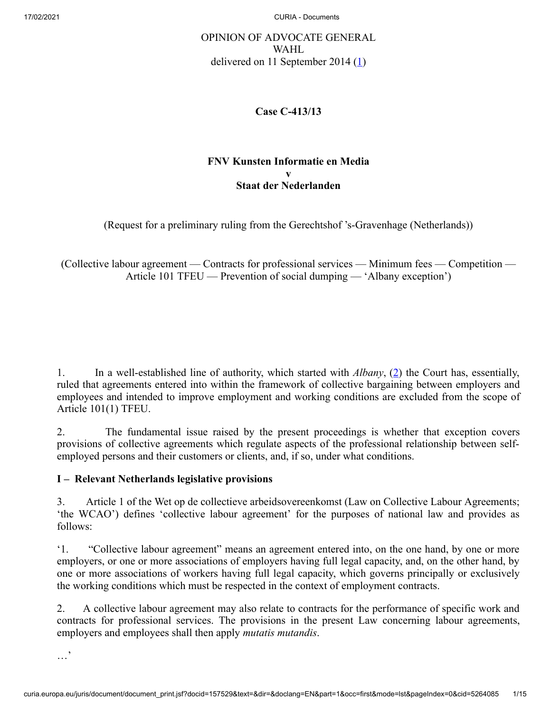# OPINION OF ADVOCATE GENERAL WAHL delivered on 11 September 2014  $(1)$  $(1)$

## <span id="page-0-0"></span>**Case C‑413/13**

## <span id="page-0-1"></span>**FNV Kunsten Informatie en Media v Staat der Nederlanden**

(Request for a preliminary ruling from the Gerechtshof 's‑Gravenhage (Netherlands))

(Collective labour agreement — Contracts for professional services — Minimum fees — Competition — Article 101 TFEU — Prevention of social dumping — 'Albany exception')

1. In a well-established line of authority, which started with *Albany*, [\(2](#page-11-1)) the Court has, essentially, ruled that agreements entered into within the framework of collective bargaining between employers and employees and intended to improve employment and working conditions are excluded from the scope of Article 101(1) TFEU.

2. The fundamental issue raised by the present proceedings is whether that exception covers provisions of collective agreements which regulate aspects of the professional relationship between selfemployed persons and their customers or clients, and, if so, under what conditions.

## **I – Relevant Netherlands legislative provisions**

3. Article 1 of the Wet op de collectieve arbeidsovereenkomst (Law on Collective Labour Agreements; 'the WCAO') defines 'collective labour agreement' for the purposes of national law and provides as follows:

'1. "Collective labour agreement" means an agreement entered into, on the one hand, by one or more employers, or one or more associations of employers having full legal capacity, and, on the other hand, by one or more associations of workers having full legal capacity, which governs principally or exclusively the working conditions which must be respected in the context of employment contracts.

2. A collective labour agreement may also relate to contracts for the performance of specific work and contracts for professional services. The provisions in the present Law concerning labour agreements, employers and employees shall then apply *mutatis mutandis*.

…'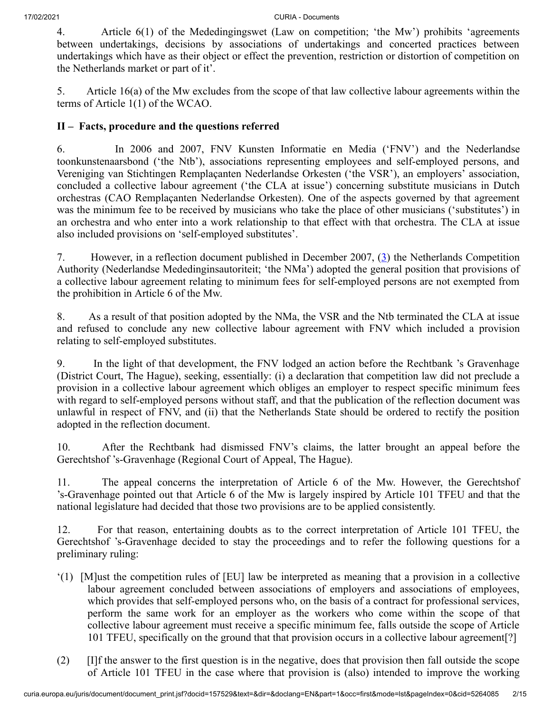4. Article 6(1) of the Mededingingswet (Law on competition; 'the Mw') prohibits 'agreements between undertakings, decisions by associations of undertakings and concerted practices between undertakings which have as their object or effect the prevention, restriction or distortion of competition on the Netherlands market or part of it'.

5. Article 16(a) of the Mw excludes from the scope of that law collective labour agreements within the terms of Article 1(1) of the WCAO.

## **II – Facts, procedure and the questions referred**

6. In 2006 and 2007, FNV Kunsten Informatie en Media ('FNV') and the Nederlandse toonkunstenaarsbond ('the Ntb'), associations representing employees and self-employed persons, and Vereniging van Stichtingen Remplaçanten Nederlandse Orkesten ('the VSR'), an employers' association, concluded a collective labour agreement ('the CLA at issue') concerning substitute musicians in Dutch orchestras (CAO Remplaçanten Nederlandse Orkesten). One of the aspects governed by that agreement was the minimum fee to be received by musicians who take the place of other musicians ('substitutes') in an orchestra and who enter into a work relationship to that effect with that orchestra. The CLA at issue also included provisions on 'self-employed substitutes'.

<span id="page-1-0"></span>7. However, in a reflection document published in December 2007, ([3\)](#page-11-2) the Netherlands Competition Authority (Nederlandse Mededinginsautoriteit; 'the NMa') adopted the general position that provisions of a collective labour agreement relating to minimum fees for self-employed persons are not exempted from the prohibition in Article 6 of the Mw.

8. As a result of that position adopted by the NMa, the VSR and the Ntb terminated the CLA at issue and refused to conclude any new collective labour agreement with FNV which included a provision relating to self-employed substitutes.

9. In the light of that development, the FNV lodged an action before the Rechtbank 's Gravenhage (District Court, The Hague), seeking, essentially: (i) a declaration that competition law did not preclude a provision in a collective labour agreement which obliges an employer to respect specific minimum fees with regard to self-employed persons without staff, and that the publication of the reflection document was unlawful in respect of FNV, and (ii) that the Netherlands State should be ordered to rectify the position adopted in the reflection document.

10. After the Rechtbank had dismissed FNV's claims, the latter brought an appeal before the Gerechtshof 's‑Gravenhage (Regional Court of Appeal, The Hague).

11. The appeal concerns the interpretation of Article 6 of the Mw. However, the Gerechtshof 's‑Gravenhage pointed out that Article 6 of the Mw is largely inspired by Article 101 TFEU and that the national legislature had decided that those two provisions are to be applied consistently.

12. For that reason, entertaining doubts as to the correct interpretation of Article 101 TFEU, the Gerechtshof 's‑Gravenhage decided to stay the proceedings and to refer the following questions for a preliminary ruling:

- '(1) [M]ust the competition rules of [EU] law be interpreted as meaning that a provision in a collective labour agreement concluded between associations of employers and associations of employees, which provides that self-employed persons who, on the basis of a contract for professional services, perform the same work for an employer as the workers who come within the scope of that collective labour agreement must receive a specific minimum fee, falls outside the scope of Article 101 TFEU, specifically on the ground that that provision occurs in a collective labour agreement[?]
- (2) [I]f the answer to the first question is in the negative, does that provision then fall outside the scope of Article 101 TFEU in the case where that provision is (also) intended to improve the working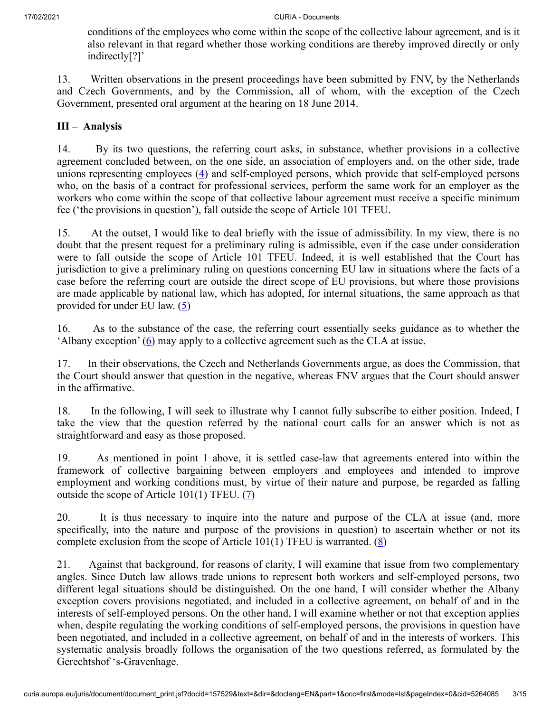conditions of the employees who come within the scope of the collective labour agreement, and is it also relevant in that regard whether those working conditions are thereby improved directly or only indirectly[?]'

13. Written observations in the present proceedings have been submitted by FNV, by the Netherlands and Czech Governments, and by the Commission, all of whom, with the exception of the Czech Government, presented oral argument at the hearing on 18 June 2014.

## **III – Analysis**

<span id="page-2-0"></span>14. By its two questions, the referring court asks, in substance, whether provisions in a collective agreement concluded between, on the one side, an association of employers and, on the other side, trade unions representing employees  $(4)$  $(4)$  and self-employed persons, which provide that self-employed persons who, on the basis of a contract for professional services, perform the same work for an employer as the workers who come within the scope of that collective labour agreement must receive a specific minimum fee ('the provisions in question'), fall outside the scope of Article 101 TFEU.

15. At the outset, I would like to deal briefly with the issue of admissibility. In my view, there is no doubt that the present request for a preliminary ruling is admissible, even if the case under consideration were to fall outside the scope of Article 101 TFEU. Indeed, it is well established that the Court has jurisdiction to give a preliminary ruling on questions concerning EU law in situations where the facts of a case before the referring court are outside the direct scope of EU provisions, but where those provisions are made applicable by national law, which has adopted, for internal situations, the same approach as that provided for under EU law.  $(5)$  $(5)$ 

<span id="page-2-2"></span><span id="page-2-1"></span>16. As to the substance of the case, the referring court essentially seeks guidance as to whether the 'Albany exception'  $(6)$  $(6)$  may apply to a collective agreement such as the CLA at issue.

17. In their observations, the Czech and Netherlands Governments argue, as does the Commission, that the Court should answer that question in the negative, whereas FNV argues that the Court should answer in the affirmative.

18. In the following, I will seek to illustrate why I cannot fully subscribe to either position. Indeed, I take the view that the question referred by the national court calls for an answer which is not as straightforward and easy as those proposed.

19. As mentioned in point 1 above, it is settled case-law that agreements entered into within the framework of collective bargaining between employers and employees and intended to improve employment and working conditions must, by virtue of their nature and purpose, be regarded as falling outside the scope of Article 101(1) TFEU.  $(7)$  $(7)$ 

<span id="page-2-4"></span><span id="page-2-3"></span>20. It is thus necessary to inquire into the nature and purpose of the CLA at issue (and, more specifically, into the nature and purpose of the provisions in question) to ascertain whether or not its complete exclusion from the scope of Article 101(1) TFEU is warranted.  $(\underline{8})$ 

21. Against that background, for reasons of clarity, I will examine that issue from two complementary angles. Since Dutch law allows trade unions to represent both workers and self-employed persons, two different legal situations should be distinguished. On the one hand, I will consider whether the Albany exception covers provisions negotiated, and included in a collective agreement, on behalf of and in the interests of self-employed persons. On the other hand, I will examine whether or not that exception applies when, despite regulating the working conditions of self-employed persons, the provisions in question have been negotiated, and included in a collective agreement, on behalf of and in the interests of workers. This systematic analysis broadly follows the organisation of the two questions referred, as formulated by the Gerechtshof 's‑Gravenhage.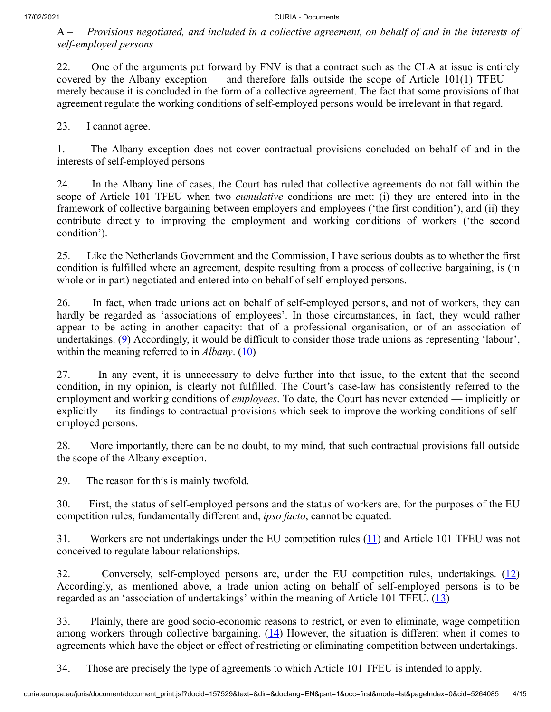A – *Provisions negotiated, and included in a collective agreement, on behalf of and in the interests of self-employed persons*

22. One of the arguments put forward by FNV is that a contract such as the CLA at issue is entirely covered by the Albany exception — and therefore falls outside the scope of Article  $101(1)$  TFEU merely because it is concluded in the form of a collective agreement. The fact that some provisions of that agreement regulate the working conditions of self-employed persons would be irrelevant in that regard.

23. I cannot agree.

1. The Albany exception does not cover contractual provisions concluded on behalf of and in the interests of self-employed persons

24. In the Albany line of cases, the Court has ruled that collective agreements do not fall within the scope of Article 101 TFEU when two *cumulative* conditions are met: (i) they are entered into in the framework of collective bargaining between employers and employees ('the first condition'), and (ii) they contribute directly to improving the employment and working conditions of workers ('the second condition').

25. Like the Netherlands Government and the Commission, I have serious doubts as to whether the first condition is fulfilled where an agreement, despite resulting from a process of collective bargaining, is (in whole or in part) negotiated and entered into on behalf of self-employed persons.

<span id="page-3-0"></span>26. In fact, when trade unions act on behalf of self-employed persons, and not of workers, they can hardly be regarded as 'associations of employees'. In those circumstances, in fact, they would rather appear to be acting in another capacity: that of a professional organisation, or of an association of undertakings.  $(9)$  $(9)$  Accordingly, it would be difficult to consider those trade unions as representing 'labour', within the meaning referred to in *Albany*. [\(10](#page-12-2))

<span id="page-3-1"></span>27. In any event, it is unnecessary to delve further into that issue, to the extent that the second condition, in my opinion, is clearly not fulfilled. The Court's case-law has consistently referred to the employment and working conditions of *employees*. To date, the Court has never extended — implicitly or explicitly — its findings to contractual provisions which seek to improve the working conditions of selfemployed persons.

28. More importantly, there can be no doubt, to my mind, that such contractual provisions fall outside the scope of the Albany exception.

29. The reason for this is mainly twofold.

30. First, the status of self-employed persons and the status of workers are, for the purposes of the EU competition rules, fundamentally different and, *ipso facto*, cannot be equated.

<span id="page-3-2"></span>31. Workers are not undertakings under the EU competition rules ([11\)](#page-12-3) and Article 101 TFEU was not conceived to regulate labour relationships.

<span id="page-3-4"></span><span id="page-3-3"></span>32. Conversely, self-employed persons are, under the EU competition rules, undertakings. ([12\)](#page-12-4) Accordingly, as mentioned above, a trade union acting on behalf of self-employed persons is to be regarded as an 'association of undertakings' within the meaning of Article 101 TFEU. ([13\)](#page-12-5)

<span id="page-3-5"></span>33. Plainly, there are good socio-economic reasons to restrict, or even to eliminate, wage competition among workers through collective bargaining.  $(14)$  $(14)$  However, the situation is different when it comes to agreements which have the object or effect of restricting or eliminating competition between undertakings.

34. Those are precisely the type of agreements to which Article 101 TFEU is intended to apply.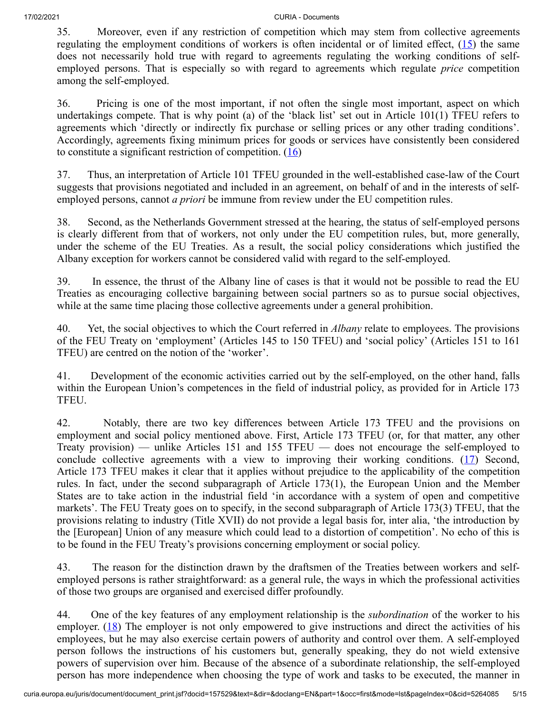<span id="page-4-0"></span>35. Moreover, even if any restriction of competition which may stem from collective agreements regulating the employment conditions of workers is often incidental or of limited effect,  $(15)$  $(15)$  the same does not necessarily hold true with regard to agreements regulating the working conditions of selfemployed persons. That is especially so with regard to agreements which regulate *price* competition among the self-employed.

36. Pricing is one of the most important, if not often the single most important, aspect on which undertakings compete. That is why point (a) of the 'black list' set out in Article 101(1) TFEU refers to agreements which 'directly or indirectly fix purchase or selling prices or any other trading conditions'. Accordingly, agreements fixing minimum prices for goods or services have consistently been considered to constitute a significant restriction of competition.  $(16)$  $(16)$ 

<span id="page-4-1"></span>37. Thus, an interpretation of Article 101 TFEU grounded in the well-established case-law of the Court suggests that provisions negotiated and included in an agreement, on behalf of and in the interests of selfemployed persons, cannot *a priori* be immune from review under the EU competition rules.

38. Second, as the Netherlands Government stressed at the hearing, the status of self-employed persons is clearly different from that of workers, not only under the EU competition rules, but, more generally, under the scheme of the EU Treaties. As a result, the social policy considerations which justified the Albany exception for workers cannot be considered valid with regard to the self-employed.

39. In essence, the thrust of the Albany line of cases is that it would not be possible to read the EU Treaties as encouraging collective bargaining between social partners so as to pursue social objectives, while at the same time placing those collective agreements under a general prohibition.

40. Yet, the social objectives to which the Court referred in *Albany* relate to employees. The provisions of the FEU Treaty on 'employment' (Articles 145 to 150 TFEU) and 'social policy' (Articles 151 to 161 TFEU) are centred on the notion of the 'worker'.

41. Development of the economic activities carried out by the self-employed, on the other hand, falls within the European Union's competences in the field of industrial policy, as provided for in Article 173 TFEU.

<span id="page-4-2"></span>42. Notably, there are two key differences between Article 173 TFEU and the provisions on employment and social policy mentioned above. First, Article 173 TFEU (or, for that matter, any other Treaty provision) — unlike Articles 151 and 155 TFEU — does not encourage the self-employed to conclude collective agreements with a view to improving their working conditions.  $(17)$  $(17)$  Second, Article 173 TFEU makes it clear that it applies without prejudice to the applicability of the competition rules. In fact, under the second subparagraph of Article 173(1), the European Union and the Member States are to take action in the industrial field 'in accordance with a system of open and competitive markets'. The FEU Treaty goes on to specify, in the second subparagraph of Article 173(3) TFEU, that the provisions relating to industry (Title XVII) do not provide a legal basis for, inter alia, 'the introduction by the [European] Union of any measure which could lead to a distortion of competition'. No echo of this is to be found in the FEU Treaty's provisions concerning employment or social policy.

43. The reason for the distinction drawn by the draftsmen of the Treaties between workers and selfemployed persons is rather straightforward: as a general rule, the ways in which the professional activities of those two groups are organised and exercised differ profoundly.

<span id="page-4-3"></span>44. One of the key features of any employment relationship is the *subordination* of the worker to his employer.  $(18)$  $(18)$  The employer is not only empowered to give instructions and direct the activities of his employees, but he may also exercise certain powers of authority and control over them. A self-employed person follows the instructions of his customers but, generally speaking, they do not wield extensive powers of supervision over him. Because of the absence of a subordinate relationship, the self-employed person has more independence when choosing the type of work and tasks to be executed, the manner in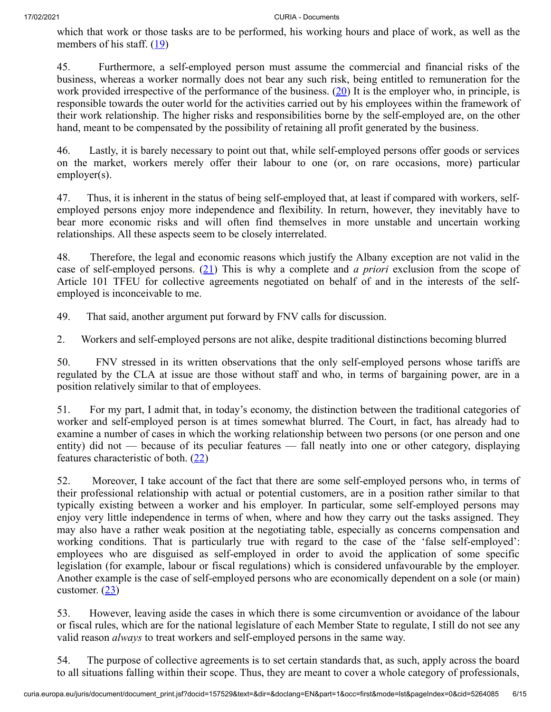<span id="page-5-0"></span>which that work or those tasks are to be performed, his working hours and place of work, as well as the members of his staff.  $(19)$  $(19)$ 

<span id="page-5-1"></span>45. Furthermore, a self-employed person must assume the commercial and financial risks of the business, whereas a worker normally does not bear any such risk, being entitled to remuneration for the work provided irrespective of the performance of the business.  $(20)$  $(20)$  It is the employer who, in principle, is responsible towards the outer world for the activities carried out by his employees within the framework of their work relationship. The higher risks and responsibilities borne by the self-employed are, on the other hand, meant to be compensated by the possibility of retaining all profit generated by the business.

46. Lastly, it is barely necessary to point out that, while self-employed persons offer goods or services on the market, workers merely offer their labour to one (or, on rare occasions, more) particular employer(s).

47. Thus, it is inherent in the status of being self-employed that, at least if compared with workers, selfemployed persons enjoy more independence and flexibility. In return, however, they inevitably have to bear more economic risks and will often find themselves in more unstable and uncertain working relationships. All these aspects seem to be closely interrelated.

<span id="page-5-2"></span>48. Therefore, the legal and economic reasons which justify the Albany exception are not valid in the case of self-employed persons. [\(21](#page-12-13)) This is why a complete and *a priori* exclusion from the scope of Article 101 TFEU for collective agreements negotiated on behalf of and in the interests of the selfemployed is inconceivable to me.

49. That said, another argument put forward by FNV calls for discussion.

2. Workers and self-employed persons are not alike, despite traditional distinctions becoming blurred

50. FNV stressed in its written observations that the only self-employed persons whose tariffs are regulated by the CLA at issue are those without staff and who, in terms of bargaining power, are in a position relatively similar to that of employees.

51. For my part, I admit that, in today's economy, the distinction between the traditional categories of worker and self-employed person is at times somewhat blurred. The Court, in fact, has already had to examine a number of cases in which the working relationship between two persons (or one person and one entity) did not — because of its peculiar features — fall neatly into one or other category, displaying features characteristic of both.  $(22)$  $(22)$ 

<span id="page-5-3"></span>52. Moreover, I take account of the fact that there are some self-employed persons who, in terms of their professional relationship with actual or potential customers, are in a position rather similar to that typically existing between a worker and his employer. In particular, some self-employed persons may enjoy very little independence in terms of when, where and how they carry out the tasks assigned. They may also have a rather weak position at the negotiating table, especially as concerns compensation and working conditions. That is particularly true with regard to the case of the 'false self-employed': employees who are disguised as self-employed in order to avoid the application of some specific legislation (for example, labour or fiscal regulations) which is considered unfavourable by the employer. Another example is the case of self-employed persons who are economically dependent on a sole (or main) customer.  $(23)$  $(23)$ 

<span id="page-5-4"></span>53. However, leaving aside the cases in which there is some circumvention or avoidance of the labour or fiscal rules, which are for the national legislature of each Member State to regulate, I still do not see any valid reason *always* to treat workers and self-employed persons in the same way.

54. The purpose of collective agreements is to set certain standards that, as such, apply across the board to all situations falling within their scope. Thus, they are meant to cover a whole category of professionals,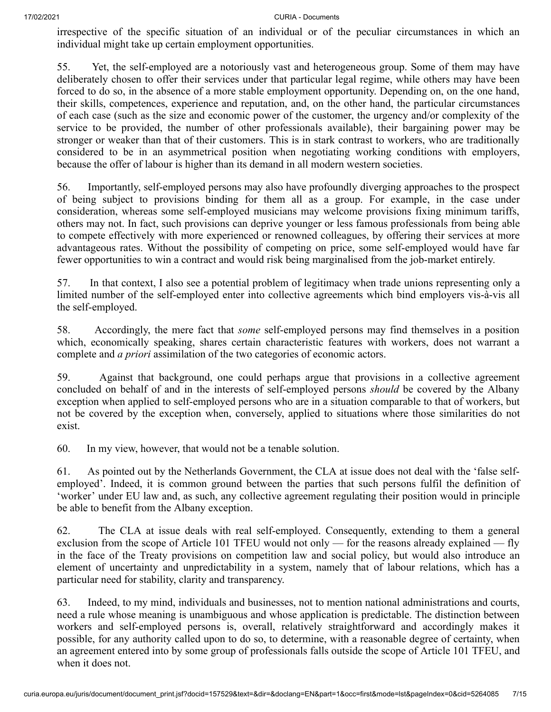irrespective of the specific situation of an individual or of the peculiar circumstances in which an individual might take up certain employment opportunities.

55. Yet, the self-employed are a notoriously vast and heterogeneous group. Some of them may have deliberately chosen to offer their services under that particular legal regime, while others may have been forced to do so, in the absence of a more stable employment opportunity. Depending on, on the one hand, their skills, competences, experience and reputation, and, on the other hand, the particular circumstances of each case (such as the size and economic power of the customer, the urgency and/or complexity of the service to be provided, the number of other professionals available), their bargaining power may be stronger or weaker than that of their customers. This is in stark contrast to workers, who are traditionally considered to be in an asymmetrical position when negotiating working conditions with employers, because the offer of labour is higher than its demand in all modern western societies.

56. Importantly, self-employed persons may also have profoundly diverging approaches to the prospect of being subject to provisions binding for them all as a group. For example, in the case under consideration, whereas some self-employed musicians may welcome provisions fixing minimum tariffs, others may not. In fact, such provisions can deprive younger or less famous professionals from being able to compete effectively with more experienced or renowned colleagues, by offering their services at more advantageous rates. Without the possibility of competing on price, some self-employed would have far fewer opportunities to win a contract and would risk being marginalised from the job-market entirely.

57. In that context, I also see a potential problem of legitimacy when trade unions representing only a limited number of the self-employed enter into collective agreements which bind employers vis-à-vis all the self-employed.

58. Accordingly, the mere fact that *some* self-employed persons may find themselves in a position which, economically speaking, shares certain characteristic features with workers, does not warrant a complete and *a priori* assimilation of the two categories of economic actors.

59. Against that background, one could perhaps argue that provisions in a collective agreement concluded on behalf of and in the interests of self-employed persons *should* be covered by the Albany exception when applied to self-employed persons who are in a situation comparable to that of workers, but not be covered by the exception when, conversely, applied to situations where those similarities do not exist.

60. In my view, however, that would not be a tenable solution.

61. As pointed out by the Netherlands Government, the CLA at issue does not deal with the 'false selfemployed'. Indeed, it is common ground between the parties that such persons fulfil the definition of 'worker' under EU law and, as such, any collective agreement regulating their position would in principle be able to benefit from the Albany exception.

62. The CLA at issue deals with real self-employed. Consequently, extending to them a general exclusion from the scope of Article 101 TFEU would not only — for the reasons already explained — fly in the face of the Treaty provisions on competition law and social policy, but would also introduce an element of uncertainty and unpredictability in a system, namely that of labour relations, which has a particular need for stability, clarity and transparency.

63. Indeed, to my mind, individuals and businesses, not to mention national administrations and courts, need a rule whose meaning is unambiguous and whose application is predictable. The distinction between workers and self-employed persons is, overall, relatively straightforward and accordingly makes it possible, for any authority called upon to do so, to determine, with a reasonable degree of certainty, when an agreement entered into by some group of professionals falls outside the scope of Article 101 TFEU, and when it does not.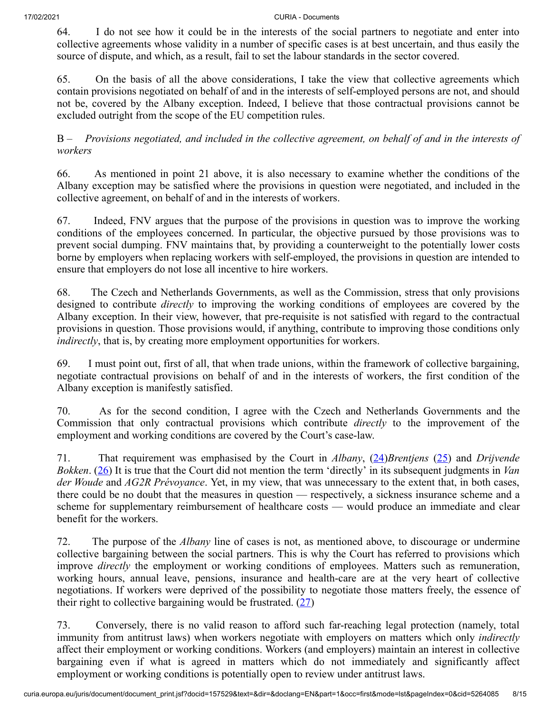64. I do not see how it could be in the interests of the social partners to negotiate and enter into collective agreements whose validity in a number of specific cases is at best uncertain, and thus easily the source of dispute, and which, as a result, fail to set the labour standards in the sector covered.

65. On the basis of all the above considerations, I take the view that collective agreements which contain provisions negotiated on behalf of and in the interests of self-employed persons are not, and should not be, covered by the Albany exception. Indeed, I believe that those contractual provisions cannot be excluded outright from the scope of the EU competition rules.

B – *Provisions negotiated, and included in the collective agreement, on behalf of and in the interests of workers*

66. As mentioned in point 21 above, it is also necessary to examine whether the conditions of the Albany exception may be satisfied where the provisions in question were negotiated, and included in the collective agreement, on behalf of and in the interests of workers.

67. Indeed, FNV argues that the purpose of the provisions in question was to improve the working conditions of the employees concerned. In particular, the objective pursued by those provisions was to prevent social dumping. FNV maintains that, by providing a counterweight to the potentially lower costs borne by employers when replacing workers with self-employed, the provisions in question are intended to ensure that employers do not lose all incentive to hire workers.

68. The Czech and Netherlands Governments, as well as the Commission, stress that only provisions designed to contribute *directly* to improving the working conditions of employees are covered by the Albany exception. In their view, however, that pre-requisite is not satisfied with regard to the contractual provisions in question. Those provisions would, if anything, contribute to improving those conditions only *indirectly*, that is, by creating more employment opportunities for workers.

69. I must point out, first of all, that when trade unions, within the framework of collective bargaining, negotiate contractual provisions on behalf of and in the interests of workers, the first condition of the Albany exception is manifestly satisfied.

70. As for the second condition, I agree with the Czech and Netherlands Governments and the Commission that only contractual provisions which contribute *directly* to the improvement of the employment and working conditions are covered by the Court's case-law.

<span id="page-7-2"></span><span id="page-7-1"></span><span id="page-7-0"></span>71. That requirement was emphasised by the Court in *Albany*, [\(24](#page-13-2))*Brentjens* ([25\)](#page-13-3) and *Drijvende Bokken*. [\(26](#page-13-4)) It is true that the Court did not mention the term 'directly' in its subsequent judgments in *Van der Woude* and *AG2R Prévoyance*. Yet, in my view, that was unnecessary to the extent that, in both cases, there could be no doubt that the measures in question — respectively, a sickness insurance scheme and a scheme for supplementary reimbursement of healthcare costs — would produce an immediate and clear benefit for the workers.

72. The purpose of the *Albany* line of cases is not, as mentioned above, to discourage or undermine collective bargaining between the social partners. This is why the Court has referred to provisions which improve *directly* the employment or working conditions of employees. Matters such as remuneration, working hours, annual leave, pensions, insurance and health-care are at the very heart of collective negotiations. If workers were deprived of the possibility to negotiate those matters freely, the essence of their right to collective bargaining would be frustrated.  $(27)$  $(27)$ 

<span id="page-7-3"></span>73. Conversely, there is no valid reason to afford such far-reaching legal protection (namely, total immunity from antitrust laws) when workers negotiate with employers on matters which only *indirectly* affect their employment or working conditions. Workers (and employers) maintain an interest in collective bargaining even if what is agreed in matters which do not immediately and significantly affect employment or working conditions is potentially open to review under antitrust laws.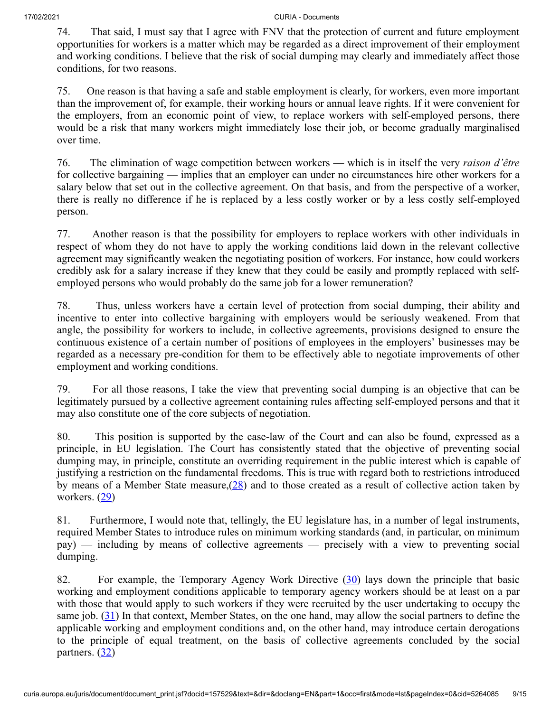74. That said, I must say that I agree with FNV that the protection of current and future employment opportunities for workers is a matter which may be regarded as a direct improvement of their employment and working conditions. I believe that the risk of social dumping may clearly and immediately affect those conditions, for two reasons.

75. One reason is that having a safe and stable employment is clearly, for workers, even more important than the improvement of, for example, their working hours or annual leave rights. If it were convenient for the employers, from an economic point of view, to replace workers with self-employed persons, there would be a risk that many workers might immediately lose their job, or become gradually marginalised over time.

76. The elimination of wage competition between workers — which is in itself the very *raison d'être* for collective bargaining — implies that an employer can under no circumstances hire other workers for a salary below that set out in the collective agreement. On that basis, and from the perspective of a worker, there is really no difference if he is replaced by a less costly worker or by a less costly self-employed person.

77. Another reason is that the possibility for employers to replace workers with other individuals in respect of whom they do not have to apply the working conditions laid down in the relevant collective agreement may significantly weaken the negotiating position of workers. For instance, how could workers credibly ask for a salary increase if they knew that they could be easily and promptly replaced with selfemployed persons who would probably do the same job for a lower remuneration?

78. Thus, unless workers have a certain level of protection from social dumping, their ability and incentive to enter into collective bargaining with employers would be seriously weakened. From that angle, the possibility for workers to include, in collective agreements, provisions designed to ensure the continuous existence of a certain number of positions of employees in the employers' businesses may be regarded as a necessary pre-condition for them to be effectively able to negotiate improvements of other employment and working conditions.

79. For all those reasons, I take the view that preventing social dumping is an objective that can be legitimately pursued by a collective agreement containing rules affecting self-employed persons and that it may also constitute one of the core subjects of negotiation.

80. This position is supported by the case-law of the Court and can also be found, expressed as a principle, in EU legislation. The Court has consistently stated that the objective of preventing social dumping may, in principle, constitute an overriding requirement in the public interest which is capable of justifying a restriction on the fundamental freedoms. This is true with regard both to restrictions introduced by means of a Member State measure, $(28)$  $(28)$  and to those created as a result of collective action taken by workers. ([29\)](#page-13-7)

<span id="page-8-1"></span><span id="page-8-0"></span>81. Furthermore, I would note that, tellingly, the EU legislature has, in a number of legal instruments, required Member States to introduce rules on minimum working standards (and, in particular, on minimum pay) — including by means of collective agreements — precisely with a view to preventing social dumping.

<span id="page-8-4"></span><span id="page-8-3"></span><span id="page-8-2"></span>82. For example, the Temporary Agency Work Directive [\(30](#page-13-8)) lays down the principle that basic working and employment conditions applicable to temporary agency workers should be at least on a par with those that would apply to such workers if they were recruited by the user undertaking to occupy the same job. [\(31](#page-13-9)) In that context, Member States, on the one hand, may allow the social partners to define the applicable working and employment conditions and, on the other hand, may introduce certain derogations to the principle of equal treatment, on the basis of collective agreements concluded by the social partners.  $(32)$  $(32)$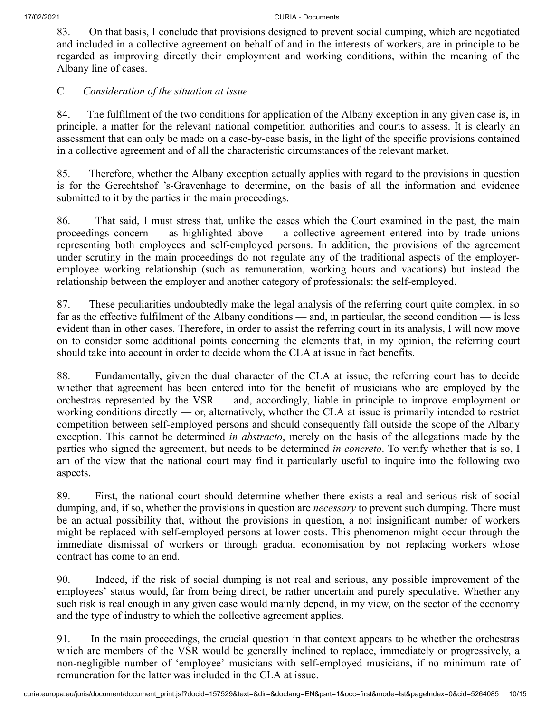83. On that basis, I conclude that provisions designed to prevent social dumping, which are negotiated and included in a collective agreement on behalf of and in the interests of workers, are in principle to be regarded as improving directly their employment and working conditions, within the meaning of the Albany line of cases.

## C – *Consideration of the situation at issue*

84. The fulfilment of the two conditions for application of the Albany exception in any given case is, in principle, a matter for the relevant national competition authorities and courts to assess. It is clearly an assessment that can only be made on a case-by-case basis, in the light of the specific provisions contained in a collective agreement and of all the characteristic circumstances of the relevant market.

85. Therefore, whether the Albany exception actually applies with regard to the provisions in question is for the Gerechtshof 's‑Gravenhage to determine, on the basis of all the information and evidence submitted to it by the parties in the main proceedings.

86. That said, I must stress that, unlike the cases which the Court examined in the past, the main proceedings concern — as highlighted above — a collective agreement entered into by trade unions representing both employees and self-employed persons. In addition, the provisions of the agreement under scrutiny in the main proceedings do not regulate any of the traditional aspects of the employeremployee working relationship (such as remuneration, working hours and vacations) but instead the relationship between the employer and another category of professionals: the self-employed.

87. These peculiarities undoubtedly make the legal analysis of the referring court quite complex, in so far as the effective fulfilment of the Albany conditions — and, in particular, the second condition — is less evident than in other cases. Therefore, in order to assist the referring court in its analysis, I will now move on to consider some additional points concerning the elements that, in my opinion, the referring court should take into account in order to decide whom the CLA at issue in fact benefits.

88. Fundamentally, given the dual character of the CLA at issue, the referring court has to decide whether that agreement has been entered into for the benefit of musicians who are employed by the orchestras represented by the VSR — and, accordingly, liable in principle to improve employment or working conditions directly — or, alternatively, whether the CLA at issue is primarily intended to restrict competition between self-employed persons and should consequently fall outside the scope of the Albany exception. This cannot be determined *in abstracto*, merely on the basis of the allegations made by the parties who signed the agreement, but needs to be determined *in concreto*. To verify whether that is so, I am of the view that the national court may find it particularly useful to inquire into the following two aspects.

89. First, the national court should determine whether there exists a real and serious risk of social dumping, and, if so, whether the provisions in question are *necessary* to prevent such dumping. There must be an actual possibility that, without the provisions in question, a not insignificant number of workers might be replaced with self-employed persons at lower costs. This phenomenon might occur through the immediate dismissal of workers or through gradual economisation by not replacing workers whose contract has come to an end.

90. Indeed, if the risk of social dumping is not real and serious, any possible improvement of the employees' status would, far from being direct, be rather uncertain and purely speculative. Whether any such risk is real enough in any given case would mainly depend, in my view, on the sector of the economy and the type of industry to which the collective agreement applies.

91. In the main proceedings, the crucial question in that context appears to be whether the orchestras which are members of the VSR would be generally inclined to replace, immediately or progressively, a non-negligible number of 'employee' musicians with self-employed musicians, if no minimum rate of remuneration for the latter was included in the CLA at issue.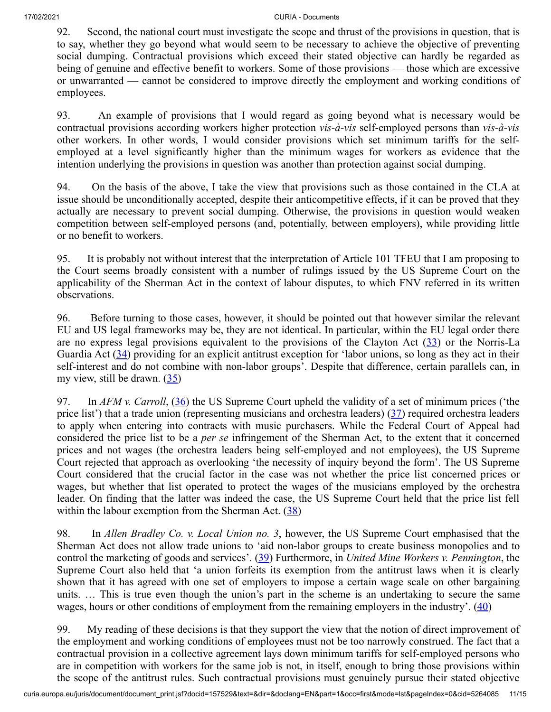92. Second, the national court must investigate the scope and thrust of the provisions in question, that is to say, whether they go beyond what would seem to be necessary to achieve the objective of preventing social dumping. Contractual provisions which exceed their stated objective can hardly be regarded as being of genuine and effective benefit to workers. Some of those provisions — those which are excessive or unwarranted — cannot be considered to improve directly the employment and working conditions of employees.

93. An example of provisions that I would regard as going beyond what is necessary would be contractual provisions according workers higher protection *vis-à-vis* self-employed persons than *vis-à-vis* other workers. In other words, I would consider provisions which set minimum tariffs for the selfemployed at a level significantly higher than the minimum wages for workers as evidence that the intention underlying the provisions in question was another than protection against social dumping.

94. On the basis of the above, I take the view that provisions such as those contained in the CLA at issue should be unconditionally accepted, despite their anticompetitive effects, if it can be proved that they actually are necessary to prevent social dumping. Otherwise, the provisions in question would weaken competition between self-employed persons (and, potentially, between employers), while providing little or no benefit to workers.

95. It is probably not without interest that the interpretation of Article 101 TFEU that I am proposing to the Court seems broadly consistent with a number of rulings issued by the US Supreme Court on the applicability of the Sherman Act in the context of labour disputes, to which FNV referred in its written observations.

<span id="page-10-1"></span><span id="page-10-0"></span>96. Before turning to those cases, however, it should be pointed out that however similar the relevant EU and US legal frameworks may be, they are not identical. In particular, within the EU legal order there are no express legal provisions equivalent to the provisions of the Clayton Act [\(33](#page-13-11)) or the Norris-La Guardia Act [\(34](#page-13-12)) providing for an explicit antitrust exception for 'labor unions, so long as they act in their self-interest and do not combine with non-labor groups'. Despite that difference, certain parallels can, in my view, still be drawn.  $(35)$  $(35)$ 

<span id="page-10-4"></span><span id="page-10-3"></span><span id="page-10-2"></span>97. In *AFM v. Carroll*, ([36\)](#page-13-14) the US Supreme Court upheld the validity of a set of minimum prices ('the price list') that a trade union (representing musicians and orchestra leaders) ([37\)](#page-13-15) required orchestra leaders to apply when entering into contracts with music purchasers. While the Federal Court of Appeal had considered the price list to be a *per se* infringement of the Sherman Act, to the extent that it concerned prices and not wages (the orchestra leaders being self-employed and not employees), the US Supreme Court rejected that approach as overlooking 'the necessity of inquiry beyond the form'. The US Supreme Court considered that the crucial factor in the case was not whether the price list concerned prices or wages, but whether that list operated to protect the wages of the musicians employed by the orchestra leader. On finding that the latter was indeed the case, the US Supreme Court held that the price list fell within the labour exemption from the Sherman Act.  $(38)$  $(38)$ 

<span id="page-10-6"></span><span id="page-10-5"></span>98. In *Allen Bradley Co. v. Local Union no. 3*, however, the US Supreme Court emphasised that the Sherman Act does not allow trade unions to 'aid non-labor groups to create business monopolies and to control the marketing of goods and services'. [\(39](#page-14-0)) Furthermore, in *United Mine Workers v. Pennington*, the Supreme Court also held that 'a union forfeits its exemption from the antitrust laws when it is clearly shown that it has agreed with one set of employers to impose a certain wage scale on other bargaining units. … This is true even though the union's part in the scheme is an undertaking to secure the same wages, hours or other conditions of employment from the remaining employers in the industry'.  $(40)$  $(40)$ 

<span id="page-10-7"></span>99. My reading of these decisions is that they support the view that the notion of direct improvement of the employment and working conditions of employees must not be too narrowly construed. The fact that a contractual provision in a collective agreement lays down minimum tariffs for self-employed persons who are in competition with workers for the same job is not, in itself, enough to bring those provisions within the scope of the antitrust rules. Such contractual provisions must genuinely pursue their stated objective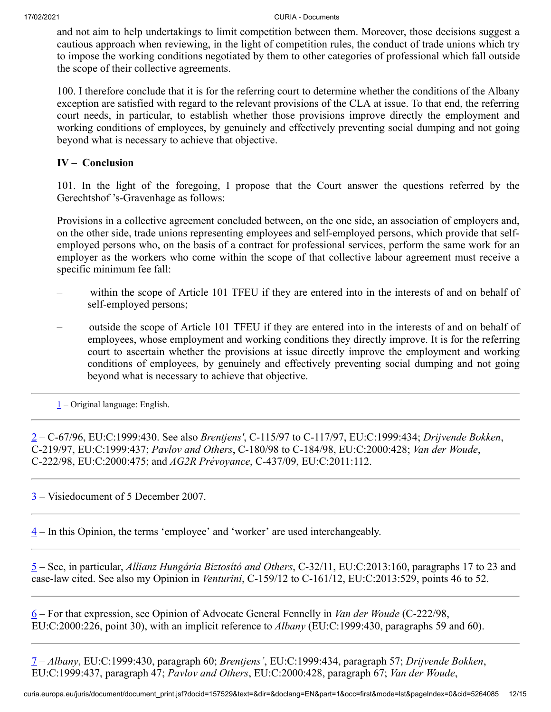and not aim to help undertakings to limit competition between them. Moreover, those decisions suggest a cautious approach when reviewing, in the light of competition rules, the conduct of trade unions which try to impose the working conditions negotiated by them to other categories of professional which fall outside the scope of their collective agreements.

100. I therefore conclude that it is for the referring court to determine whether the conditions of the Albany exception are satisfied with regard to the relevant provisions of the CLA at issue. To that end, the referring court needs, in particular, to establish whether those provisions improve directly the employment and working conditions of employees, by genuinely and effectively preventing social dumping and not going beyond what is necessary to achieve that objective.

## **IV – Conclusion**

101. In the light of the foregoing, I propose that the Court answer the questions referred by the Gerechtshof 's-Gravenhage as follows:

Provisions in a collective agreement concluded between, on the one side, an association of employers and, on the other side, trade unions representing employees and self-employed persons, which provide that selfemployed persons who, on the basis of a contract for professional services, perform the same work for an employer as the workers who come within the scope of that collective labour agreement must receive a specific minimum fee fall:

- within the scope of Article 101 TFEU if they are entered into in the interests of and on behalf of self-employed persons;
- outside the scope of Article 101 TFEU if they are entered into in the interests of and on behalf of employees, whose employment and working conditions they directly improve. It is for the referring court to ascertain whether the provisions at issue directly improve the employment and working conditions of employees, by genuinely and effectively preventing social dumping and not going beyond what is necessary to achieve that objective.

<span id="page-11-0"></span> $1$  – Original language: English.

<span id="page-11-1"></span>[2](#page-0-1) – C‑67/96, EU:C:1999:430. See also *Brentjens'*, C‑115/97 to C‑117/97, EU:C:1999:434; *Drijvende Bokken*, C‑219/97, EU:C:1999:437; *Pavlov and Others*, C-180/98 to C‑184/98, EU:C:2000:428; *Van der Woude*, C‑222/98, EU:C:2000:475; and *AG2R Prévoyance*, C‑437/09, EU:C:2011:112.

<span id="page-11-2"></span> $3$  – Visiedocument of 5 December 2007.

<span id="page-11-3"></span> $\frac{4}{1}$  $\frac{4}{1}$  $\frac{4}{1}$  – In this Opinion, the terms 'employee' and 'worker' are used interchangeably.

<span id="page-11-4"></span>[5](#page-2-1) – See, in particular, *Allianz Hungária Biztosító and Others*, C‑32/11, EU:C:2013:160, paragraphs 17 to 23 and case-law cited. See also my Opinion in *Venturini*, C‑159/12 to C‑161/12, EU:C:2013:529, points 46 to 52.

<span id="page-11-5"></span>[6](#page-2-2) – For that expression, see Opinion of Advocate General Fennelly in *Van der Woude* (C‑222/98, EU:C:2000:226, point 30), with an implicit reference to *Albany* (EU:C:1999:430, paragraphs 59 and 60).

<span id="page-11-6"></span>[7](#page-2-3) – *Albany*, EU:C:1999:430, paragraph 60; *Brentjens'*, EU:C:1999:434, paragraph 57; *Drijvende Bokken*, EU:C:1999:437, paragraph 47; *Pavlov and Others*, EU:C:2000:428, paragraph 67; *Van der Woude*,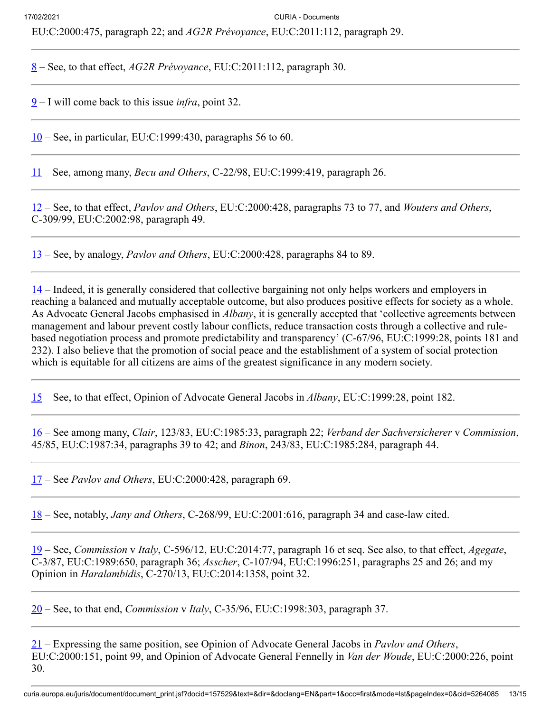EU:C:2000:475, paragraph 22; and *AG2R Prévoyance*, EU:C:2011:112, paragraph 29.

<span id="page-12-0"></span>[8](#page-2-4) – See, to that effect, *AG2R Prévoyance*, EU:C:2011:112, paragraph 30.

<span id="page-12-1"></span>[9](#page-3-0) – I will come back to this issue *infra*, point 32.

<span id="page-12-2"></span> $10$  – See, in particular, EU:C:1999:430, paragraphs 56 to 60.

<span id="page-12-3"></span>[11](#page-3-2) – See, among many, *Becu and Others*, C‑22/98, EU:C:1999:419, paragraph 26.

<span id="page-12-4"></span>[12](#page-3-3) – See, to that effect, *Pavlov and Others*, EU:C:2000:428, paragraphs 73 to 77, and *Wouters and Others*, C‑309/99, EU:C:2002:98, paragraph 49.

<span id="page-12-5"></span>[13](#page-3-4) – See, by analogy, *Pavlov and Others*, EU:C:2000:428, paragraphs 84 to 89.

<span id="page-12-6"></span>[14](#page-3-5) – Indeed, it is generally considered that collective bargaining not only helps workers and employers in reaching a balanced and mutually acceptable outcome, but also produces positive effects for society as a whole. As Advocate General Jacobs emphasised in *Albany*, it is generally accepted that 'collective agreements between management and labour prevent costly labour conflicts, reduce transaction costs through a collective and rulebased negotiation process and promote predictability and transparency' (C‑67/96, EU:C:1999:28, points 181 and 232). I also believe that the promotion of social peace and the establishment of a system of social protection which is equitable for all citizens are aims of the greatest significance in any modern society.

<span id="page-12-7"></span>[15](#page-4-0) – See, to that effect, Opinion of Advocate General Jacobs in *Albany*, EU:C:1999:28, point 182.

<span id="page-12-8"></span>[16](#page-4-1) – See among many, *Clair*, 123/83, EU:C:1985:33, paragraph 22; *Verband der Sachversicherer* v *Commission*, 45/85, EU:C:1987:34, paragraphs 39 to 42; and *Binon*, 243/83, EU:C:1985:284, paragraph 44.

<span id="page-12-9"></span>[17](#page-4-2) – See *Pavlov and Others*, EU:C:2000:428, paragraph 69.

<span id="page-12-10"></span>[18](#page-4-3) – See, notably, *Jany and Others*, C‑268/99, EU:C:2001:616, paragraph 34 and case-law cited.

<span id="page-12-11"></span>[19](#page-5-0) – See, *Commission* v *Italy*, C‑596/12, EU:C:2014:77, paragraph 16 et seq. See also, to that effect, *Agegate*, C‑3/87, EU:C:1989:650, paragraph 36; *Asscher*, C‑107/94, EU:C:1996:251, paragraphs 25 and 26; and my Opinion in *Haralambidis*, C‑270/13, EU:C:2014:1358, point 32.

<span id="page-12-12"></span>[20](#page-5-1) – See, to that end, *Commission* v *Italy*, C‑35/96, EU:C:1998:303, paragraph 37.

<span id="page-12-13"></span>[21](#page-5-2) – Expressing the same position, see Opinion of Advocate General Jacobs in *Pavlov and Others*, EU:C:2000:151, point 99, and Opinion of Advocate General Fennelly in *Van der Woude*, EU:C:2000:226, point 30.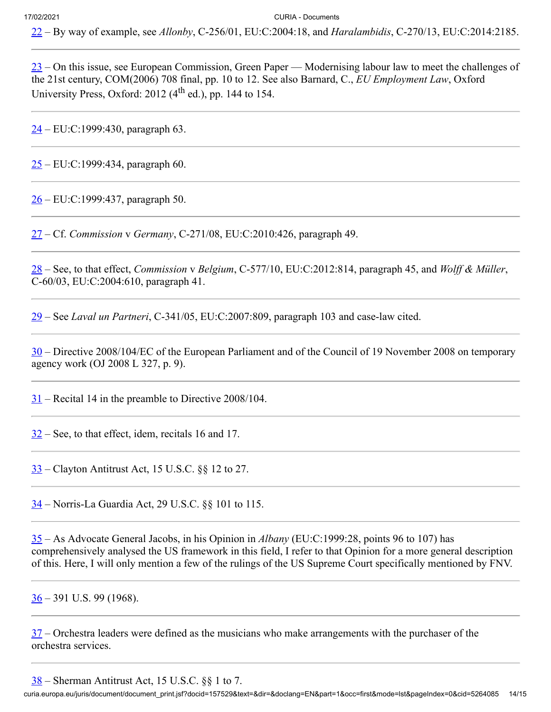<span id="page-13-0"></span>– By way of example, see *Allonby*, C‑256/01, EU:C:2004:18, and *Haralambidis*, C‑270/13, EU:C:2014:2185.

<span id="page-13-1"></span> $\frac{23}{2}$  $\frac{23}{2}$  $\frac{23}{2}$  – On this issue, see European Commission, Green Paper — Modernising labour law to meet the challenges of the 21st century, COM(2006) 708 final, pp. 10 to 12. See also Barnard, C., *EU Employment Law*, Oxford University Press, Oxford: ( $4<sup>th</sup>$  ed.), pp. 144 to 154.

<span id="page-13-2"></span> $24 - EU:C:1999:430$ , paragraph 63.

<span id="page-13-3"></span> $25 - EU:C:1999:434$ , paragraph 60.

<span id="page-13-4"></span> $26 - EU:C:1999:437$ , paragraph 50.

<span id="page-13-5"></span>– Cf. *Commission* v *Germany*, C‑271/08, EU:C:2010:426, paragraph 49.

<span id="page-13-6"></span> – See, to that effect, *Commission* v *Belgium*, C‑577/10, EU:C:2012:814, paragraph 45, and *Wolff & Müller*, C‑60/03, EU:C:2004:610, paragraph 41.

<span id="page-13-7"></span>– See *Laval un Partneri*, C‑341/05, EU:C:2007:809, paragraph 103 and case-law cited.

<span id="page-13-8"></span> – Directive 2008/104/EC of the European Parliament and of the Council of 19 November 2008 on temporary agency work (OJ 2008 L 327, p. 9).

<span id="page-13-9"></span>– Recital 14 in the preamble to Directive 2008/104.

<span id="page-13-10"></span>– See, to that effect, idem, recitals 16 and 17.

<span id="page-13-11"></span>– Clayton Antitrust Act, 15 U.S.C. §§ 12 to 27.

<span id="page-13-12"></span>– Norris-La Guardia Act, 29 U.S.C. §§ 101 to 115.

<span id="page-13-13"></span> – As Advocate General Jacobs, in his Opinion in *Albany* (EU:C:1999:28, points 96 to 107) has comprehensively analysed the US framework in this field, I refer to that Opinion for a more general description of this. Here, I will only mention a few of the rulings of the US Supreme Court specifically mentioned by FNV.

<span id="page-13-14"></span> $36 - 391$  U.S. 99 (1968).

<span id="page-13-15"></span> – Orchestra leaders were defined as the musicians who make arrangements with the purchaser of the orchestra services.

<span id="page-13-16"></span>– Sherman Antitrust Act, 15 U.S.C. §§ 1 to 7.

curia.europa.eu/juris/document/document\_print.jsf?docid=157529&text=&dir=&doclang=EN&part=1&occ=first&mode=lst&pageIndex=0&cid=5264085 14/15